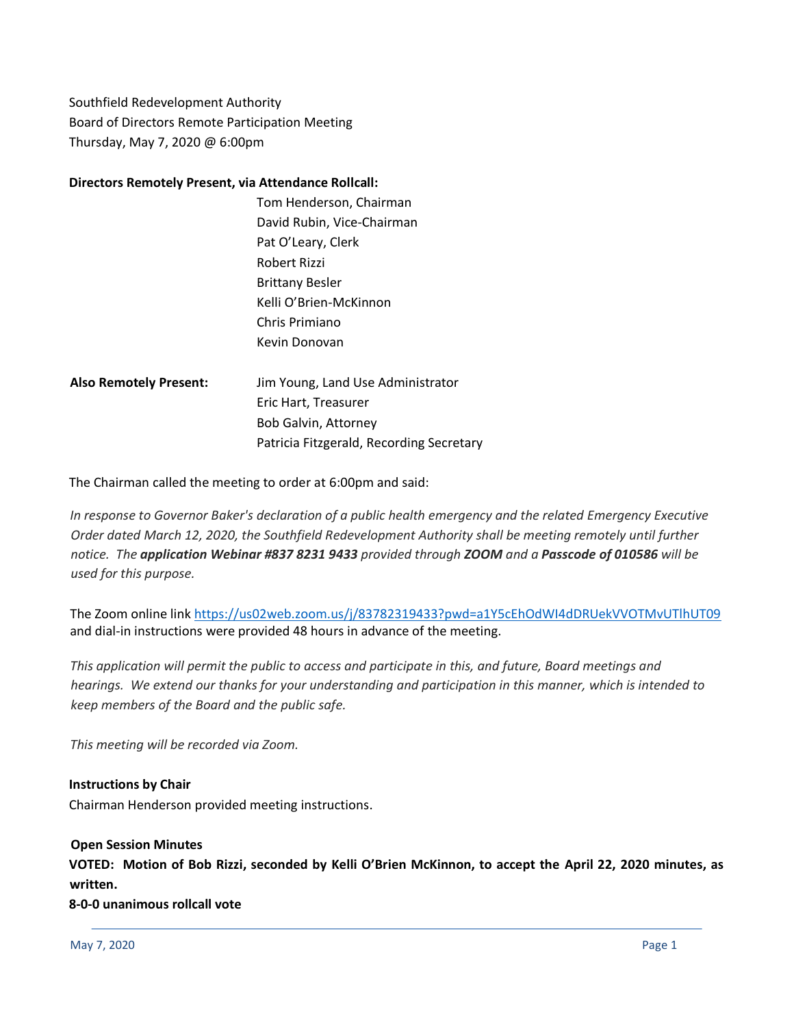Southfield Redevelopment Authority Board of Directors Remote Participation Meeting Thursday, May 7, 2020 @ 6:00pm

#### **Directors Remotely Present, via Attendance Rollcall:**

- Tom Henderson, Chairman David Rubin, Vice-Chairman Pat O'Leary, Clerk Robert Rizzi Brittany Besler Kelli O'Brien-McKinnon Chris Primiano Kevin Donovan
- **Also Remotely Present:** Jim Young, Land Use Administrator Eric Hart, Treasurer Bob Galvin, Attorney Patricia Fitzgerald, Recording Secretary

The Chairman called the meeting to order at 6:00pm and said:

*In response to Governor Baker's declaration of a public health emergency and the related Emergency Executive Order dated March 12, 2020, the Southfield Redevelopment Authority shall be meeting remotely until further notice. The application Webinar #837 8231 9433 provided through ZOOM and a Passcode of 010586 will be used for this purpose.*

The Zoom online link <https://us02web.zoom.us/j/83782319433?pwd=a1Y5cEhOdWI4dDRUekVVOTMvUTlhUT09> and dial-in instructions were provided 48 hours in advance of the meeting.

*This application will permit the public to access and participate in this, and future, Board meetings and* hearings. We extend our thanks for your understanding and participation in this manner, which is intended to *keep members of the Board and the public safe.*

*This meeting will be recorded via Zoom.*

**Instructions by Chair** Chairman Henderson provided meeting instructions.

**Open Session Minutes VOTED: Motion of Bob Rizzi, seconded by Kelli O'Brien McKinnon, to accept the April 22, 2020 minutes, as written.** 

**8-0-0 unanimous rollcall vote**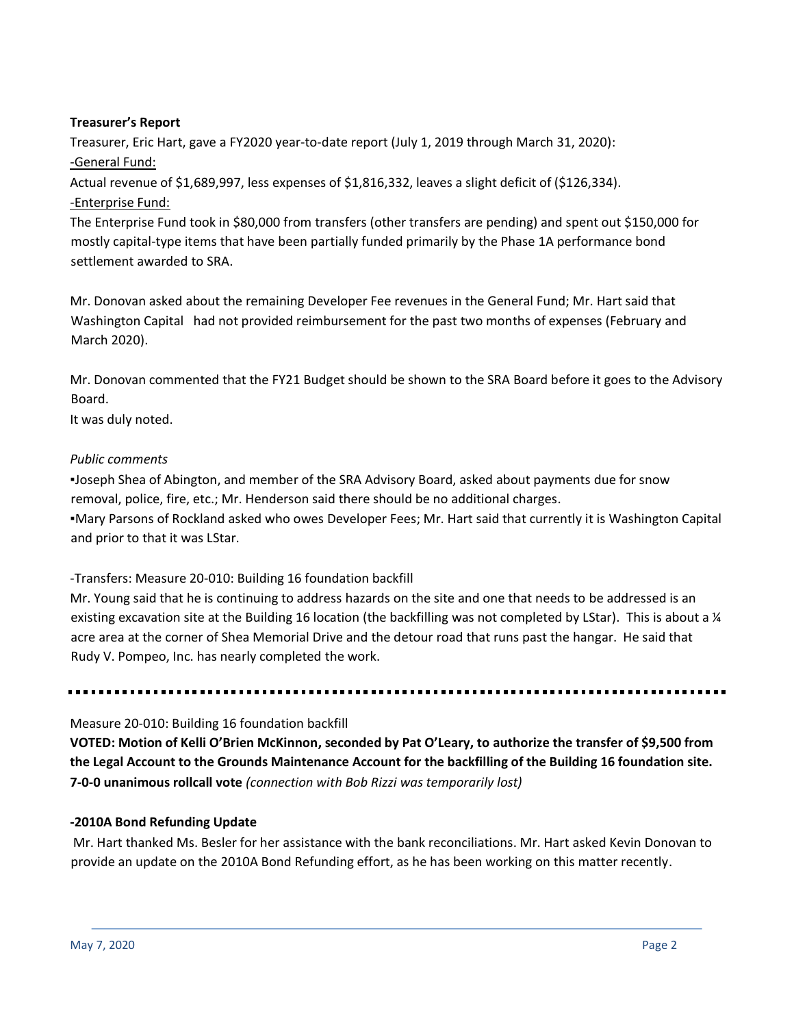# **Treasurer's Report**

Treasurer, Eric Hart, gave a FY2020 year-to-date report (July 1, 2019 through March 31, 2020): -General Fund:

Actual revenue of \$1,689,997, less expenses of \$1,816,332, leaves a slight deficit of (\$126,334). -Enterprise Fund:

The Enterprise Fund took in \$80,000 from transfers (other transfers are pending) and spent out \$150,000 for mostly capital-type items that have been partially funded primarily by the Phase 1A performance bond settlement awarded to SRA.

Mr. Donovan asked about the remaining Developer Fee revenues in the General Fund; Mr. Hart said that Washington Capital had not provided reimbursement for the past two months of expenses (February and March 2020).

Mr. Donovan commented that the FY21 Budget should be shown to the SRA Board before it goes to the Advisory Board.

It was duly noted.

# *Public comments*

▪Joseph Shea of Abington, and member of the SRA Advisory Board, asked about payments due for snow removal, police, fire, etc.; Mr. Henderson said there should be no additional charges.

▪Mary Parsons of Rockland asked who owes Developer Fees; Mr. Hart said that currently it is Washington Capital and prior to that it was LStar.

### -Transfers: Measure 20-010: Building 16 foundation backfill

Mr. Young said that he is continuing to address hazards on the site and one that needs to be addressed is an existing excavation site at the Building 16 location (the backfilling was not completed by LStar). This is about a ¼ acre area at the corner of Shea Memorial Drive and the detour road that runs past the hangar. He said that Rudy V. Pompeo, Inc. has nearly completed the work.

### Measure 20-010: Building 16 foundation backfill

**VOTED: Motion of Kelli O'Brien McKinnon, seconded by Pat O'Leary, to authorize the transfer of \$9,500 from the Legal Account to the Grounds Maintenance Account for the backfilling of the Building 16 foundation site. 7-0-0 unanimous rollcall vote** *(connection with Bob Rizzi was temporarily lost)*

### **-2010A Bond Refunding Update**

Mr. Hart thanked Ms. Besler for her assistance with the bank reconciliations. Mr. Hart asked Kevin Donovan to provide an update on the 2010A Bond Refunding effort, as he has been working on this matter recently.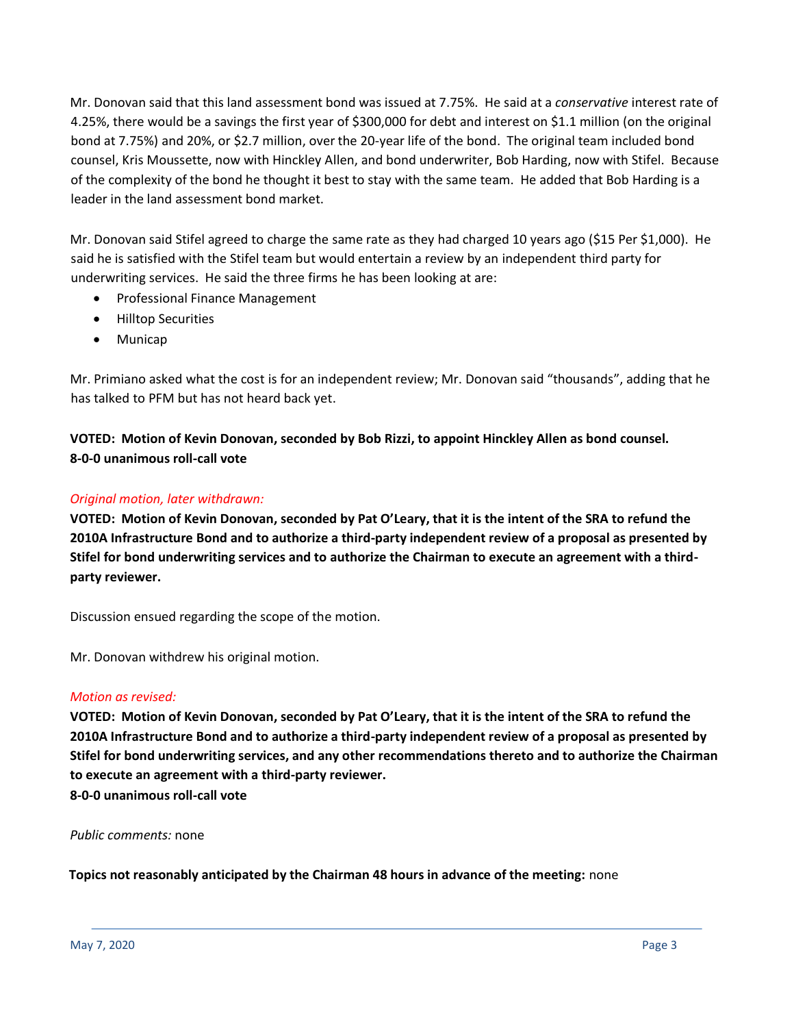Mr. Donovan said that this land assessment bond was issued at 7.75%. He said at a *conservative* interest rate of 4.25%, there would be a savings the first year of \$300,000 for debt and interest on \$1.1 million (on the original bond at 7.75%) and 20%, or \$2.7 million, over the 20-year life of the bond. The original team included bond counsel, Kris Moussette, now with Hinckley Allen, and bond underwriter, Bob Harding, now with Stifel. Because of the complexity of the bond he thought it best to stay with the same team. He added that Bob Harding is a leader in the land assessment bond market.

Mr. Donovan said Stifel agreed to charge the same rate as they had charged 10 years ago (\$15 Per \$1,000). He said he is satisfied with the Stifel team but would entertain a review by an independent third party for underwriting services. He said the three firms he has been looking at are:

- Professional Finance Management
- Hilltop Securities
- Municap

Mr. Primiano asked what the cost is for an independent review; Mr. Donovan said "thousands", adding that he has talked to PFM but has not heard back yet.

**VOTED: Motion of Kevin Donovan, seconded by Bob Rizzi, to appoint Hinckley Allen as bond counsel. 8-0-0 unanimous roll-call vote**

# *Original motion, later withdrawn:*

**VOTED: Motion of Kevin Donovan, seconded by Pat O'Leary, that it is the intent of the SRA to refund the 2010A Infrastructure Bond and to authorize a third-party independent review of a proposal as presented by Stifel for bond underwriting services and to authorize the Chairman to execute an agreement with a thirdparty reviewer.**

Discussion ensued regarding the scope of the motion.

Mr. Donovan withdrew his original motion.

### *Motion as revised:*

**VOTED: Motion of Kevin Donovan, seconded by Pat O'Leary, that it is the intent of the SRA to refund the 2010A Infrastructure Bond and to authorize a third-party independent review of a proposal as presented by Stifel for bond underwriting services, and any other recommendations thereto and to authorize the Chairman to execute an agreement with a third-party reviewer. 8-0-0 unanimous roll-call vote** 

*Public comments:* none

**Topics not reasonably anticipated by the Chairman 48 hours in advance of the meeting:** none